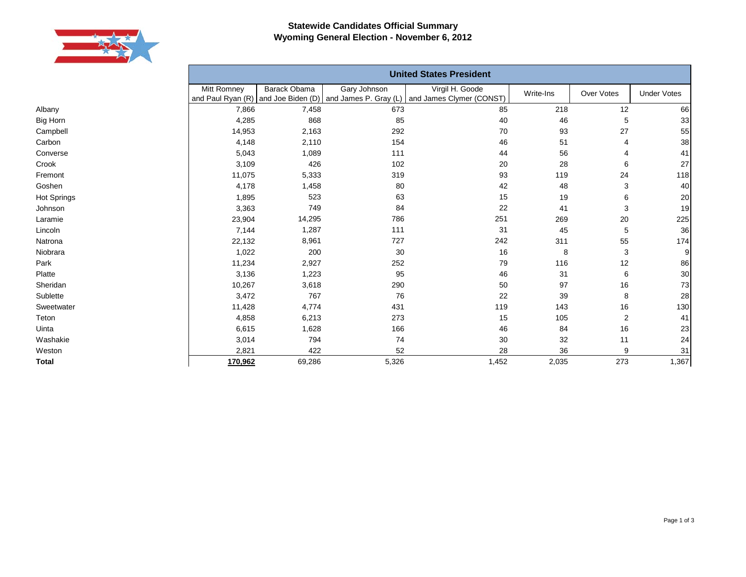

## **Statewide Candidates Official Summary Wyoming General Election - November 6, 2012**

|             | <b>United States President</b> |              |              |                                                                                                       |           |                |                    |  |  |
|-------------|--------------------------------|--------------|--------------|-------------------------------------------------------------------------------------------------------|-----------|----------------|--------------------|--|--|
|             | Mitt Romney                    | Barack Obama | Gary Johnson | Virgil H. Goode<br>and Paul Ryan (R) and Joe Biden (D) and James P. Gray (L) and James Clymer (CONST) | Write-Ins | Over Votes     | <b>Under Votes</b> |  |  |
| Albany      | 7,866                          | 7,458        | 673          | 85                                                                                                    | 218       | 12             | 66                 |  |  |
| Big Horn    | 4,285                          | 868          | 85           | 40                                                                                                    | 46        | 5              | 33                 |  |  |
| Campbell    | 14,953                         | 2,163        | 292          | 70                                                                                                    | 93        | 27             | 55                 |  |  |
| Carbon      | 4,148                          | 2,110        | 154          | 46                                                                                                    | 51        |                | 38                 |  |  |
| Converse    | 5,043                          | 1,089        | 111          | 44                                                                                                    | 56        |                | 41                 |  |  |
| Crook       | 3,109                          | 426          | 102          | 20                                                                                                    | 28        | 6              | 27                 |  |  |
| Fremont     | 11,075                         | 5,333        | 319          | 93                                                                                                    | 119       | 24             | 118                |  |  |
| Goshen      | 4,178                          | 1,458        | 80           | 42                                                                                                    | 48        | 3              | 40                 |  |  |
| Hot Springs | 1,895                          | 523          | 63           | 15                                                                                                    | 19        | 6              | $20\,$             |  |  |
| Johnson     | 3,363                          | 749          | 84           | 22                                                                                                    | 41        | 3              | 19                 |  |  |
| Laramie     | 23,904                         | 14,295       | 786          | 251                                                                                                   | 269       | 20             | 225                |  |  |
| Lincoln     | 7,144                          | 1,287        | 111          | 31                                                                                                    | 45        | 5              | 36                 |  |  |
| Natrona     | 22,132                         | 8,961        | 727          | 242                                                                                                   | 311       | 55             | 174                |  |  |
| Niobrara    | 1,022                          | 200          | 30           | 16                                                                                                    | 8         | 3              | 9                  |  |  |
| Park        | 11,234                         | 2,927        | 252          | 79                                                                                                    | 116       | 12             | 86                 |  |  |
| Platte      | 3,136                          | 1,223        | 95           | 46                                                                                                    | 31        | 6              | $30\,$             |  |  |
| Sheridan    | 10,267                         | 3,618        | 290          | 50                                                                                                    | 97        | 16             | 73                 |  |  |
| Sublette    | 3,472                          | 767          | 76           | 22                                                                                                    | 39        | 8              | 28                 |  |  |
| Sweetwater  | 11,428                         | 4,774        | 431          | 119                                                                                                   | 143       | 16             | 130                |  |  |
| Teton       | 4,858                          | 6,213        | 273          | 15                                                                                                    | 105       | $\overline{2}$ | 41                 |  |  |
| Uinta       | 6,615                          | 1,628        | 166          | 46                                                                                                    | 84        | 16             | 23                 |  |  |
| Washakie    | 3,014                          | 794          | 74           | 30                                                                                                    | 32        | 11             | 24                 |  |  |
| Weston      | 2,821                          | 422          | 52           | 28                                                                                                    | 36        | 9              | 31                 |  |  |
| Total       | 170,962                        | 69,286       | 5,326        | 1,452                                                                                                 | 2,035     | 273            | 1,367              |  |  |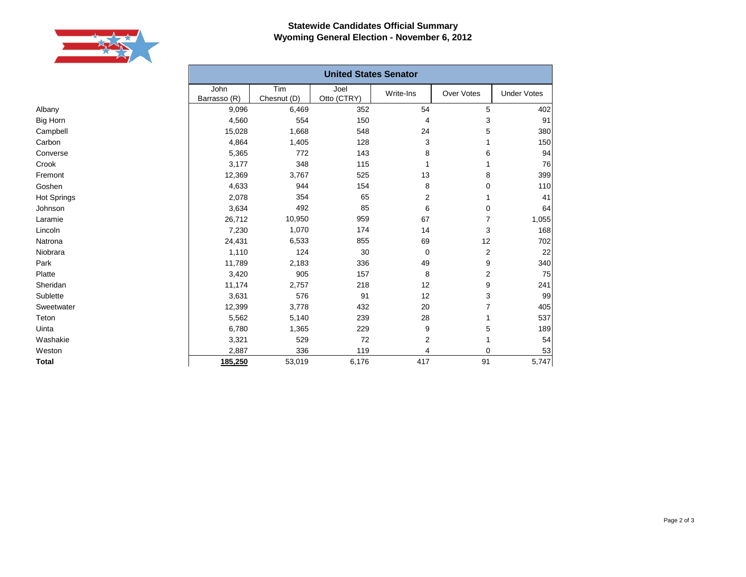

Albany Big Horn Campbell Carbon Converse Crook Fremont Goshen Hot Springs Johnson Laramie Lincoln Natrona Niobrara Park Platte Sheridan Sublette Sweetwater Teton Uinta Washakie Weston **Total**

## **Statewide Candidates Official Summary Wyoming General Election - November 6, 2012**

| <b>United States Senator</b> |                    |                     |                         |                |                    |  |  |
|------------------------------|--------------------|---------------------|-------------------------|----------------|--------------------|--|--|
| John<br>Barrasso (R)         | Tim<br>Chesnut (D) | Joel<br>Otto (CTRY) | Write-Ins               | Over Votes     | <b>Under Votes</b> |  |  |
| 9,096                        | 6,469              | 352                 | 54                      | 5              | 402                |  |  |
| 4,560                        | 554                | 150                 | 4                       | 3              | 91                 |  |  |
| 15,028                       | 1,668              | 548                 | 24                      | 5              | 380                |  |  |
| 4,864                        | 1,405              | 128                 | 3                       |                | 150                |  |  |
| 5,365                        | 772                | 143                 | 8                       | 6              | 94                 |  |  |
| 3,177                        | 348                | 115                 | 1                       | 1              | 76                 |  |  |
| 12,369                       | 3,767              | 525                 | 13                      | 8              | 399                |  |  |
| 4,633                        | 944                | 154                 | 8                       | 0              | 110                |  |  |
| 2,078                        | 354                | 65                  | $\overline{2}$          | 1              | 41                 |  |  |
| 3,634                        | 492                | 85                  | 6                       | 0              | 64                 |  |  |
| 26,712                       | 10,950             | 959                 | 67                      | $\overline{7}$ | 1,055              |  |  |
| 7,230                        | 1,070              | 174                 | 14                      | 3              | 168                |  |  |
| 24,431                       | 6,533              | 855                 | 69                      | 12             | 702                |  |  |
| 1,110                        | 124                | 30                  | $\mathbf 0$             | 2              | 22                 |  |  |
| 11,789                       | 2,183              | 336                 | 49                      | 9              | 340                |  |  |
| 3,420                        | 905                | 157                 | 8                       | 2              | 75                 |  |  |
| 11,174                       | 2,757              | 218                 | 12                      | 9              | 241                |  |  |
| 3,631                        | 576                | 91                  | 12                      | 3              | 99                 |  |  |
| 12,399                       | 3,778              | 432                 | 20                      | $\overline{7}$ | 405                |  |  |
| 5,562                        | 5,140              | 239                 | 28                      | 1              | 537                |  |  |
| 6,780                        | 1,365              | 229                 | 9                       | 5              | 189                |  |  |
| 3,321                        | 529                | 72                  | $\overline{\mathbf{c}}$ | 1              | 54                 |  |  |
| 2,887                        | 336                | 119                 | 4                       | 0              | 53                 |  |  |
| 185,250                      | 53,019             | 6,176               | 417                     | 91             | 5,747              |  |  |